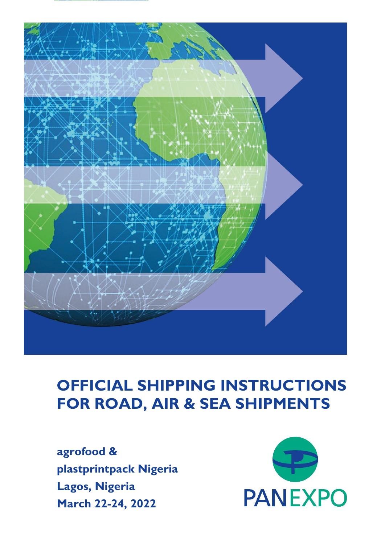

### **OFFICIAL SHIPPING INSTRUCTIONS FOR ROAD, AIR & SEA SHIPMENTS**

**agrofood & plastprintpack Nigeria Lagos, Nigeria March 22-24, 2022**

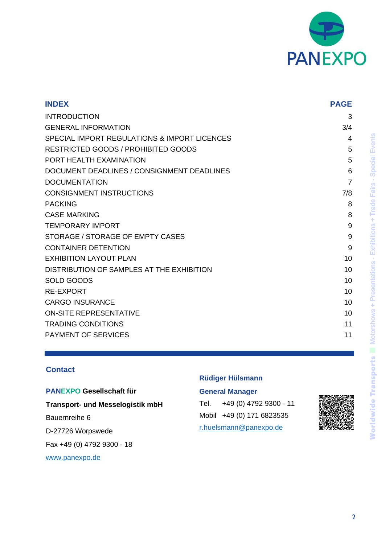

| <b>INDEX</b>                                 | <b>PAGE</b> |
|----------------------------------------------|-------------|
| <b>INTRODUCTION</b>                          | 3           |
| <b>GENERAL INFORMATION</b>                   | 3/4         |
| SPECIAL IMPORT REGULATIONS & IMPORT LICENCES | 4           |
| <b>RESTRICTED GOODS / PROHIBITED GOODS</b>   | 5           |
| PORT HEALTH EXAMINATION                      | 5           |
| DOCUMENT DEADLINES / CONSIGNMENT DEADLINES   | 6           |
| <b>DOCUMENTATION</b>                         | 7           |
| <b>CONSIGNMENT INSTRUCTIONS</b>              | 7/8         |
| <b>PACKING</b>                               | 8           |
| <b>CASE MARKING</b>                          | 8           |
| <b>TEMPORARY IMPORT</b>                      | 9           |
| STORAGE / STORAGE OF EMPTY CASES             | 9           |
| <b>CONTAINER DETENTION</b>                   | 9           |
| <b>EXHIBITION LAYOUT PLAN</b>                | 10          |
| DISTRIBUTION OF SAMPLES AT THE EXHIBITION    | 10          |
| <b>SOLD GOODS</b>                            | 10          |
| <b>RE-EXPORT</b>                             | 10          |
| <b>CARGO INSURANCE</b>                       | 10          |
| <b>ON-SITE REPRESENTATIVE</b>                | 10          |
| <b>TRADING CONDITIONS</b>                    | 11          |
| <b>PAYMENT OF SERVICES</b>                   | 11          |

#### **Contact**

**PANEXPO Gesellschaft für Transport- und Messelogistik mbH** Bauernreihe 6 D-27726 Worpswede Fax +49 (0) 4792 9300 - 18 [www.panexpo.de](file:///C:/Users/M.Horre/AppData/Local/Microsoft/Windows/INetCache/A_Schwarzer/Terminplanung/Terminplaner_1%20Projektleiter/www.panexpo.de)

#### **Rüdiger Hülsmann**

#### **General Manager**

Tel. +49 (0) 4792 9300 - 11 Mobil +49 (0) 171 6823535 [r.huelsmann@panexpo.de](mailto:r.huelsmann@panexpo.de)

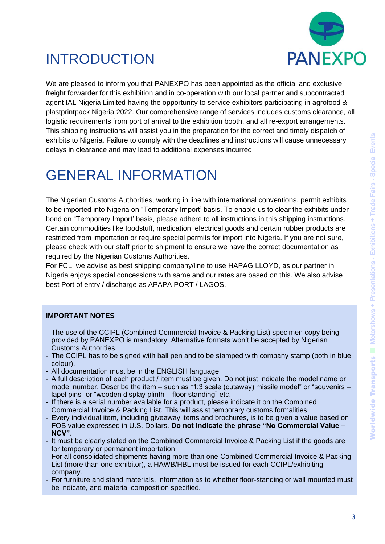

### INTRODUCTION

We are pleased to inform you that PANEXPO has been appointed as the official and exclusive freight forwarder for this exhibition and in co-operation with our local partner and subcontracted agent IAL Nigeria Limited having the opportunity to service exhibitors participating in agrofood & plastprintpack Nigeria 2022. Our comprehensive range of services includes customs clearance, all logistic requirements from port of arrival to the exhibition booth, and all re-export arrangements. This shipping instructions will assist you in the preparation for the correct and timely dispatch of exhibits to Nigeria. Failure to comply with the deadlines and instructions will cause unnecessary delays in clearance and may lead to additional expenses incurred.

## GENERAL INFORMATION

The Nigerian Customs Authorities, working in line with international conventions, permit exhibits to be imported into Nigeria on "Temporary Import' basis. To enable us to clear the exhibits under bond on "Temporary Import' basis, please adhere to all instructions in this shipping instructions. Certain commodities like foodstuff, medication, electrical goods and certain rubber products are restricted from importation or require special permits for import into Nigeria. If you are not sure, please check with our staff prior to shipment to ensure we have the correct documentation as required by the Nigerian Customs Authorities.

For FCL: we advise as best shipping company/line to use HAPAG LLOYD, as our partner in Nigeria enjoys special concessions with same and our rates are based on this. We also advise best Port of entry / discharge as APAPA PORT / LAGOS.

#### **IMPORTANT NOTES**

- The use of the CCIPL (Combined Commercial Invoice & Packing List) specimen copy being provided by PANEXPO is mandatory. Alternative formats won't be accepted by Nigerian Customs Authorities.
- The CCIPL has to be signed with ball pen and to be stamped with company stamp (both in blue colour).
- All documentation must be in the ENGLISH language.
- A full description of each product / item must be given. Do not just indicate the model name or model number. Describe the item – such as "1:3 scale (cutaway) missile model" or "souvenirs – lapel pins" or "wooden display plinth – floor standing" etc.
- If there is a serial number available for a product, please indicate it on the Combined Commercial Invoice & Packing List. This will assist temporary customs formalities.
- Every individual item, including giveaway items and brochures, is to be given a value based on FOB value expressed in U.S. Dollars. **Do not indicate the phrase "No Commercial Value – NCV"**.
- It must be clearly stated on the Combined Commercial Invoice & Packing List if the goods are for temporary or permanent importation.
- For all consolidated shipments having more than one Combined Commercial Invoice & Packing List (more than one exhibitor), a HAWB/HBL must be issued for each CCIPL/exhibiting company.
- For furniture and stand materials, information as to whether floor-standing or wall mounted must be indicate, and material composition specified.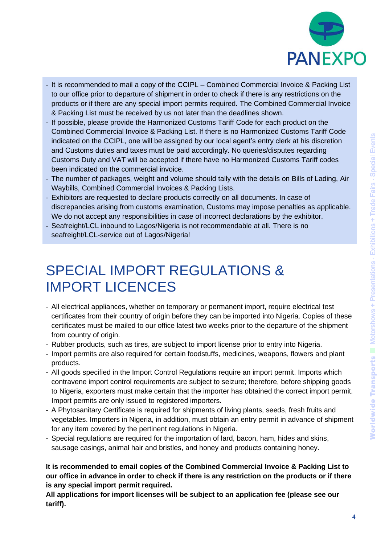

- It is recommended to mail a copy of the CCIPL Combined Commercial Invoice & Packing List to our office prior to departure of shipment in order to check if there is any restrictions on the products or if there are any special import permits required. The Combined Commercial Invoice & Packing List must be received by us not later than the deadlines shown.
- If possible, please provide the Harmonized Customs Tariff Code for each product on the Combined Commercial Invoice & Packing List. If there is no Harmonized Customs Tariff Code indicated on the CCIPL, one will be assigned by our local agent's entry clerk at his discretion and Customs duties and taxes must be paid accordingly. No queries/disputes regarding Customs Duty and VAT will be accepted if there have no Harmonized Customs Tariff codes been indicated on the commercial invoice.
- The number of packages, weight and volume should tally with the details on Bills of Lading, Air Waybills, Combined Commercial Invoices & Packing Lists.
- Exhibitors are requested to declare products correctly on all documents. In case of discrepancies arising from customs examination, Customs may impose penalties as applicable. We do not accept any responsibilities in case of incorrect declarations by the exhibitor.
- Seafreight/LCL inbound to Lagos/Nigeria is not recommendable at all. There is no seafreight/LCL-service out of Lagos/Nigeria!

### SPECIAL IMPORT REGULATIONS & IMPORT LICENCES

- All electrical appliances, whether on temporary or permanent import, require electrical test certificates from their country of origin before they can be imported into Nigeria. Copies of these certificates must be mailed to our office latest two weeks prior to the departure of the shipment from country of origin.
- Rubber products, such as tires, are subject to import license prior to entry into Nigeria.
- Import permits are also required for certain foodstuffs, medicines, weapons, flowers and plant products.
- All goods specified in the Import Control Regulations require an import permit. Imports which contravene import control requirements are subject to seizure; therefore, before shipping goods to Nigeria, exporters must make certain that the importer has obtained the correct import permit. Import permits are only issued to registered importers.
- A Phytosanitary Certificate is required for shipments of living plants, seeds, fresh fruits and vegetables. Importers in Nigeria, in addition, must obtain an entry permit in advance of shipment for any item covered by the pertinent regulations in Nigeria.
- Special regulations are required for the importation of lard, bacon, ham, hides and skins, sausage casings, animal hair and bristles, and honey and products containing honey.

**It is recommended to email copies of the Combined Commercial Invoice & Packing List to our office in advance in order to check if there is any restriction on the products or if there is any special import permit required.**

**All applications for import licenses will be subject to an application fee (please see our tariff).**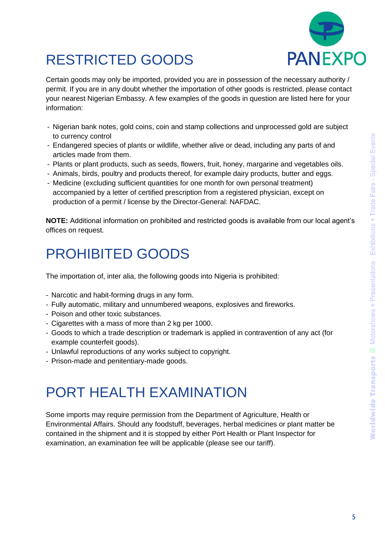

# RESTRICTED GOODS

Certain goods may only be imported, provided you are in possession of the necessary authority / permit. If you are in any doubt whether the importation of other goods is restricted, please contact your nearest Nigerian Embassy. A few examples of the goods in question are listed here for your information:

- Nigerian bank notes, gold coins, coin and stamp collections and unprocessed gold are subject to currency control
- Endangered species of plants or wildlife, whether alive or dead, including any parts of and articles made from them.
- Plants or plant products, such as seeds, flowers, fruit, honey, margarine and vegetables oils.
- Animals, birds, poultry and products thereof, for example dairy products, butter and eggs.
- Medicine (excluding sufficient quantities for one month for own personal treatment) accompanied by a letter of certified prescription from a registered physician, except on production of a permit / license by the Director-General: NAFDAC.

**NOTE:** Additional information on prohibited and restricted goods is available from our local agent's offices on request.

### PROHIBITED GOODS

The importation of, inter alia, the following goods into Nigeria is prohibited:

- Narcotic and habit-forming drugs in any form.
- Fully automatic, military and unnumbered weapons, explosives and fireworks.
- Poison and other toxic substances.
- Cigarettes with a mass of more than 2 kg per 1000.
- Goods to which a trade description or trademark is applied in contravention of any act (for example counterfeit goods).
- Unlawful reproductions of any works subject to copyright.
- Prison-made and penitentiary-made goods.

### PORT HEALTH EXAMINATION

Some imports may require permission from the Department of Agriculture, Health or Environmental Affairs. Should any foodstuff, beverages, herbal medicines or plant matter be contained in the shipment and it is stopped by either Port Health or Plant Inspector for examination, an examination fee will be applicable (please see our tariff).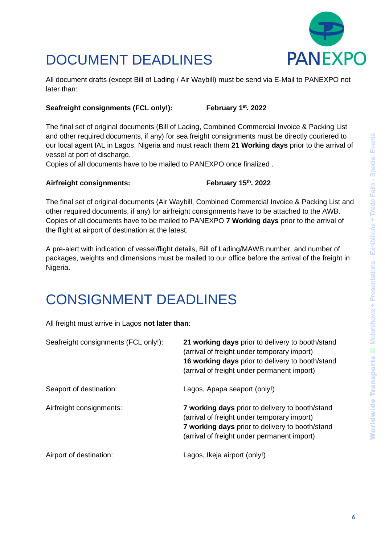

# DOCUMENT DEADLINES

All document drafts (except Bill of Lading / Air Waybill) must be send via E-Mail to PANEXPO not later than:

#### **Seafreight consignments (FCL only!): February 1st. 2022**

The final set of original documents (Bill of Lading, Combined Commercial Invoice & Packing List and other required documents, if any) for sea freight consignments must be directly couriered to our local agent IAL in Lagos, Nigeria and must reach them **21 Working days** prior to the arrival of vessel at port of discharge.

Copies of all documents have to be mailed to PANEXPO once finalized .

#### **Airfreight consignments:**

#### **. 2022**

The final set of original documents (Air Waybill, Combined Commercial Invoice & Packing List and other required documents, if any) for airfreight consignments have to be attached to the AWB. Copies of all documents have to be mailed to PANEXPO **7 Working days** prior to the arrival of the flight at airport of destination at the latest.

A pre-alert with indication of vessel/flight details, Bill of Lading/MAWB number, and number of packages, weights and dimensions must be mailed to our office before the arrival of the freight in Nigeria.

### CONSIGNMENT DEADLINES

All freight must arrive in Lagos **not later than**:

| Seafreight consignments (FCL only!): | 21 working days prior to delivery to booth/stand<br>(arrival of freight under temporary import)<br>16 working days prior to delivery to booth/stand<br>(arrival of freight under permanent import) |
|--------------------------------------|----------------------------------------------------------------------------------------------------------------------------------------------------------------------------------------------------|
| Seaport of destination:              | Lagos, Apapa seaport (only!)                                                                                                                                                                       |
| Airfreight consignments:             | 7 working days prior to delivery to booth/stand<br>(arrival of freight under temporary import)<br>7 working days prior to delivery to booth/stand<br>(arrival of freight under permanent import)   |
| Airport of destination:              | Lagos, Ikeja airport (only!)                                                                                                                                                                       |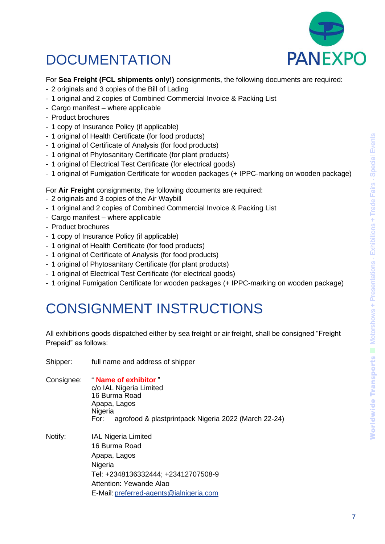

# DOCUMENTATION

#### For **Sea Freight (FCL shipments only!)** consignments, the following documents are required:

- 2 originals and 3 copies of the Bill of Lading
- 1 original and 2 copies of Combined Commercial Invoice & Packing List
- Cargo manifest where applicable
- Product brochures
- 1 copy of Insurance Policy (if applicable)
- 1 original of Health Certificate (for food products)
- 1 original of Certificate of Analysis (for food products)
- 1 original of Phytosanitary Certificate (for plant products)
- 1 original of Electrical Test Certificate (for electrical goods)
- 1 original of Fumigation Certificate for wooden packages (+ IPPC-marking on wooden package)

For **Air Freight** consignments, the following documents are required:

- 2 originals and 3 copies of the Air Waybill
- 1 original and 2 copies of Combined Commercial Invoice & Packing List
- Cargo manifest where applicable
- Product brochures
- 1 copy of Insurance Policy (if applicable)
- 1 original of Health Certificate (for food products)

Shipper: full name and address of shipper

- 1 original of Certificate of Analysis (for food products)
- 1 original of Phytosanitary Certificate (for plant products)
- 1 original of Electrical Test Certificate (for electrical goods)
- 1 original Fumigation Certificate for wooden packages (+ IPPC-marking on wooden package)

### CONSIGNMENT INSTRUCTIONS

All exhibitions goods dispatched either by sea freight or air freight, shall be consigned "Freight Prepaid" as follows:

| <u>Juppon.</u> | ran namo ana addreed or ompon                                                                                                                                                       |
|----------------|-------------------------------------------------------------------------------------------------------------------------------------------------------------------------------------|
|                | Consignee: "Name of exhibitor"<br>c/o IAL Nigeria Limited<br>16 Burma Road<br>Apapa, Lagos<br>Nigeria<br>agrofood & plastprintpack Nigeria 2022 (March 22-24)<br>For:               |
| Notify:        | <b>IAL Nigeria Limited</b><br>16 Burma Road<br>Apapa, Lagos<br>Nigeria<br>Tel: +2348136332444; +23412707508-9<br>Attention: Yewande Alao<br>E-Mail: preferred-agents@ialnigeria.com |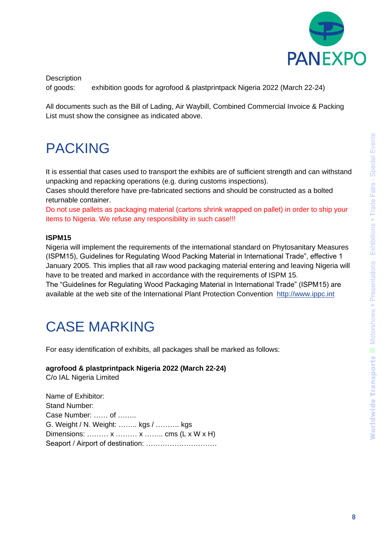

**Description** 

of goods: exhibition goods for agrofood & plastprintpack Nigeria 2022 (March 22-24)

All documents such as the Bill of Lading, Air Waybill, Combined Commercial Invoice & Packing List must show the consignee as indicated above.

### PACKING

It is essential that cases used to transport the exhibits are of sufficient strength and can withstand unpacking and repacking operations (e.g. during customs inspections).

Cases should therefore have pre-fabricated sections and should be constructed as a bolted returnable container.

Do not use pallets as packaging material (cartons shrink wrapped on pallet) in order to ship your items to Nigeria. We refuse any responsibility in such case!!!

#### **ISPM15**

Nigeria will implement the requirements of the international standard on Phytosanitary Measures (ISPM15), Guidelines for Regulating Wood Packing Material in International Trade", effective 1 January 2005. This implies that all raw wood packaging material entering and leaving Nigeria will have to be treated and marked in accordance with the requirements of ISPM 15. The "Guidelines for Regulating Wood Packaging Material in International Trade" (ISPM15) are available at the web site of the International Plant Protection Convention [http://www.ippc.int](http://www.ippc.int/)

### CASE MARKING

For easy identification of exhibits, all packages shall be marked as follows:

**agrofood & plastprintpack Nigeria 2022 (March 22-24)** C/o IAL Nigeria Limited

Name of Exhibitor: Stand Number: Case Number: …… of …….. G. Weight / N. Weight: …….. kgs / ………. kgs Dimensions: ……… x ……… x …….. cms (L x W x H) Seaport / Airport of destination: …………………………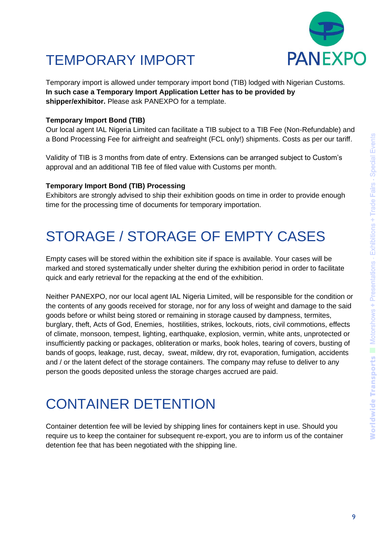

# TEMPORARY IMPORT

Temporary import is allowed under temporary import bond (TIB) lodged with Nigerian Customs. **In such case a Temporary Import Application Letter has to be provided by shipper/exhibitor.** Please ask PANEXPO for a template.

#### **Temporary Import Bond (TIB)**

Our local agent IAL Nigeria Limited can facilitate a TIB subject to a TIB Fee (Non-Refundable) and a Bond Processing Fee for airfreight and seafreight (FCL only!) shipments. Costs as per our tariff.

Validity of TIB is 3 months from date of entry. Extensions can be arranged subject to Custom's approval and an additional TIB fee of filed value with Customs per month.

#### **Temporary Import Bond (TIB) Processing**

Exhibitors are strongly advised to ship their exhibition goods on time in order to provide enough time for the processing time of documents for temporary importation.

### STORAGE / STORAGE OF EMPTY CASES

Empty cases will be stored within the exhibition site if space is available. Your cases will be marked and stored systematically under shelter during the exhibition period in order to facilitate quick and early retrieval for the repacking at the end of the exhibition.

Neither PANEXPO, nor our local agent IAL Nigeria Limited, will be responsible for the condition or the contents of any goods received for storage, nor for any loss of weight and damage to the said goods before or whilst being stored or remaining in storage caused by dampness, termites, burglary, theft, Acts of God, Enemies, hostilities, strikes, lockouts, riots, civil commotions, effects of climate, monsoon, tempest, lighting, earthquake, explosion, vermin, white ants, unprotected or insufficiently packing or packages, obliteration or marks, book holes, tearing of covers, busting of bands of goops, leakage, rust, decay, sweat, mildew, dry rot, evaporation, fumigation, accidents and / or the latent defect of the storage containers. The company may refuse to deliver to any person the goods deposited unless the storage charges accrued are paid.

### CONTAINER DETENTION

Container detention fee will be levied by shipping lines for containers kept in use. Should you require us to keep the container for subsequent re-export, you are to inform us of the container detention fee that has been negotiated with the shipping line.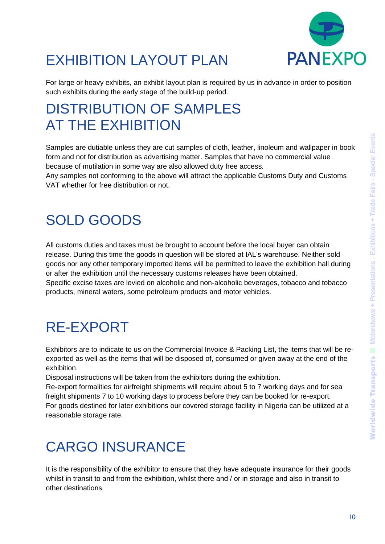

# EXHIBITION LAYOUT PLAN

For large or heavy exhibits, an exhibit layout plan is required by us in advance in order to position such exhibits during the early stage of the build-up period.

### DISTRIBUTION OF SAMPLES AT THE EXHIBITION

Samples are dutiable unless they are cut samples of cloth, leather, linoleum and wallpaper in book form and not for distribution as advertising matter. Samples that have no commercial value because of mutilation in some way are also allowed duty free access.

Any samples not conforming to the above will attract the applicable Customs Duty and Customs VAT whether for free distribution or not.

### SOLD GOODS

All customs duties and taxes must be brought to account before the local buyer can obtain release. During this time the goods in question will be stored at IAL's warehouse. Neither sold goods nor any other temporary imported items will be permitted to leave the exhibition hall during or after the exhibition until the necessary customs releases have been obtained. Specific excise taxes are levied on alcoholic and non-alcoholic beverages, tobacco and tobacco products, mineral waters, some petroleum products and motor vehicles.

# RE-EXPORT

Exhibitors are to indicate to us on the Commercial Invoice & Packing List, the items that will be reexported as well as the items that will be disposed of, consumed or given away at the end of the exhibition.

Disposal instructions will be taken from the exhibitors during the exhibition.

Re-export formalities for airfreight shipments will require about 5 to 7 working days and for sea freight shipments 7 to 10 working days to process before they can be booked for re-export. For goods destined for later exhibitions our covered storage facility in Nigeria can be utilized at a reasonable storage rate.

## CARGO INSURANCE

It is the responsibility of the exhibitor to ensure that they have adequate insurance for their goods whilst in transit to and from the exhibition, whilst there and / or in storage and also in transit to other destinations.